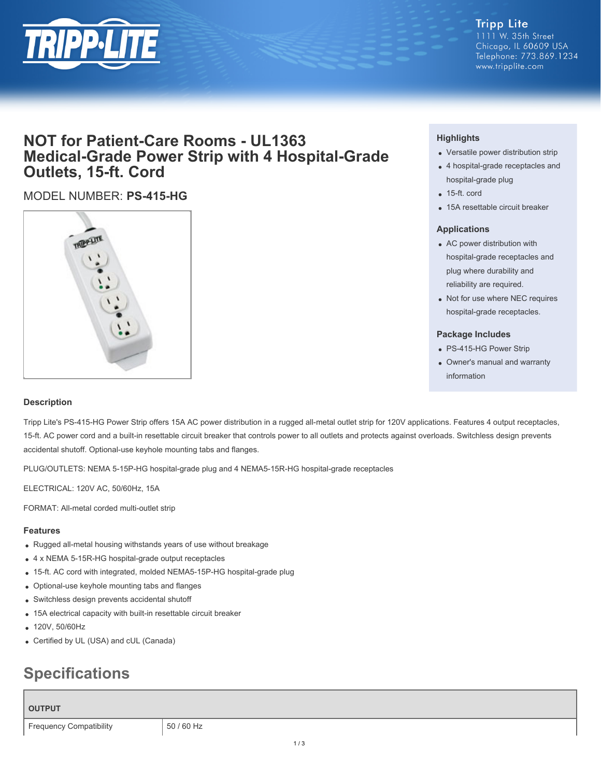

#### **Tripp Lite** 1111 W. 35th Street Chicago, IL 60609 USA Telephone: 773.869.1234 www.tripplite.com

# **NOT for Patient-Care Rooms - UL1363 Medical-Grade Power Strip with 4 Hospital-Grade Outlets, 15-ft. Cord**

## MODEL NUMBER: **PS-415-HG**



### **Highlights**

- Versatile power distribution strip
- 4 hospital-grade receptacles and hospital-grade plug
- 15-ft. cord
- 15A resettable circuit breaker

#### **Applications**

- AC power distribution with hospital-grade receptacles and plug where durability and reliability are required.
- Not for use where NEC requires hospital-grade receptacles.

#### **Package Includes**

- PS-415-HG Power Strip
- Owner's manual and warranty information

#### **Description**

Tripp Lite's PS-415-HG Power Strip offers 15A AC power distribution in a rugged all-metal outlet strip for 120V applications. Features 4 output receptacles, 15-ft. AC power cord and a built-in resettable circuit breaker that controls power to all outlets and protects against overloads. Switchless design prevents accidental shutoff. Optional-use keyhole mounting tabs and flanges.

PLUG/OUTLETS: NEMA 5-15P-HG hospital-grade plug and 4 NEMA5-15R-HG hospital-grade receptacles

ELECTRICAL: 120V AC, 50/60Hz, 15A

FORMAT: All-metal corded multi-outlet strip

#### **Features**

- Rugged all-metal housing withstands years of use without breakage
- 4 x NEMA 5-15R-HG hospital-grade output receptacles
- 15-ft. AC cord with integrated, molded NEMA5-15P-HG hospital-grade plug
- Optional-use keyhole mounting tabs and flanges
- Switchless design prevents accidental shutoff
- 15A electrical capacity with built-in resettable circuit breaker
- 120V, 50/60Hz
- Certified by UL (USA) and cUL (Canada)

# **Specifications**

#### **OUTPUT**

Frequency Compatibility | 50 / 60 Hz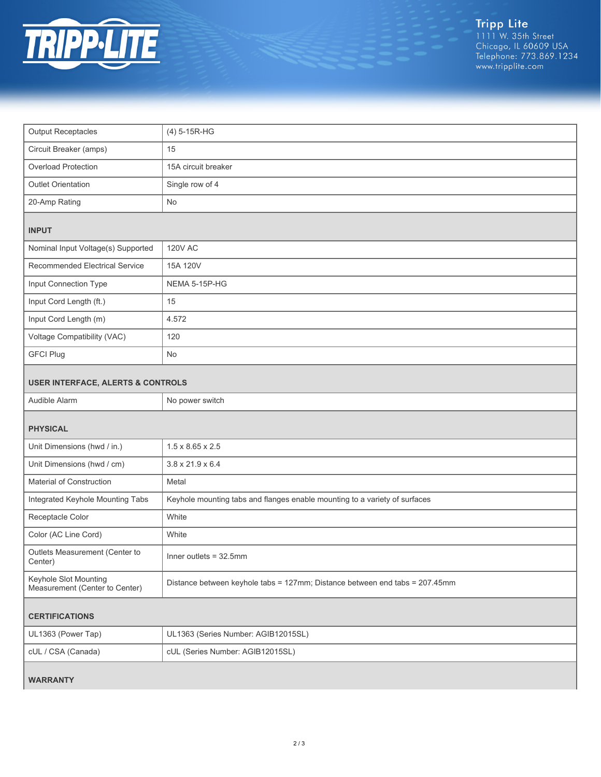

Tripp Lite<br>1111 W. 35th Street<br>Chicago, IL 60609 USA<br>Telephone: 773.869.1234<br>www.tripplite.com

| <b>Output Receptacles</b>                               | (4) 5-15R-HG                                                                |
|---------------------------------------------------------|-----------------------------------------------------------------------------|
| Circuit Breaker (amps)                                  | 15                                                                          |
| Overload Protection                                     | 15A circuit breaker                                                         |
| Outlet Orientation                                      | Single row of 4                                                             |
| 20-Amp Rating                                           | No                                                                          |
| <b>INPUT</b>                                            |                                                                             |
| Nominal Input Voltage(s) Supported                      | <b>120V AC</b>                                                              |
| Recommended Electrical Service                          | 15A 120V                                                                    |
| Input Connection Type                                   | NEMA 5-15P-HG                                                               |
| Input Cord Length (ft.)                                 | 15                                                                          |
| Input Cord Length (m)                                   | 4.572                                                                       |
| Voltage Compatibility (VAC)                             | 120                                                                         |
| <b>GFCI Plug</b>                                        | No                                                                          |
| <b>USER INTERFACE, ALERTS &amp; CONTROLS</b>            |                                                                             |
| Audible Alarm                                           | No power switch                                                             |
| <b>PHYSICAL</b>                                         |                                                                             |
| Unit Dimensions (hwd / in.)                             | $1.5 \times 8.65 \times 2.5$                                                |
| Unit Dimensions (hwd / cm)                              | $3.8 \times 21.9 \times 6.4$                                                |
| Material of Construction                                | Metal                                                                       |
| Integrated Keyhole Mounting Tabs                        | Keyhole mounting tabs and flanges enable mounting to a variety of surfaces  |
| Receptacle Color                                        | White                                                                       |
| Color (AC Line Cord)                                    | White                                                                       |
| Outlets Measurement (Center to<br>Center)               | Inner outlets = $32.5$ mm                                                   |
| Keyhole Slot Mounting<br>Measurement (Center to Center) | Distance between keyhole tabs = 127mm; Distance between end tabs = 207.45mm |
| <b>CERTIFICATIONS</b>                                   |                                                                             |
| UL1363 (Power Tap)                                      | UL1363 (Series Number: AGIB12015SL)                                         |
| cUL / CSA (Canada)                                      | cUL (Series Number: AGIB12015SL)                                            |
| <b>WARRANTY</b>                                         |                                                                             |